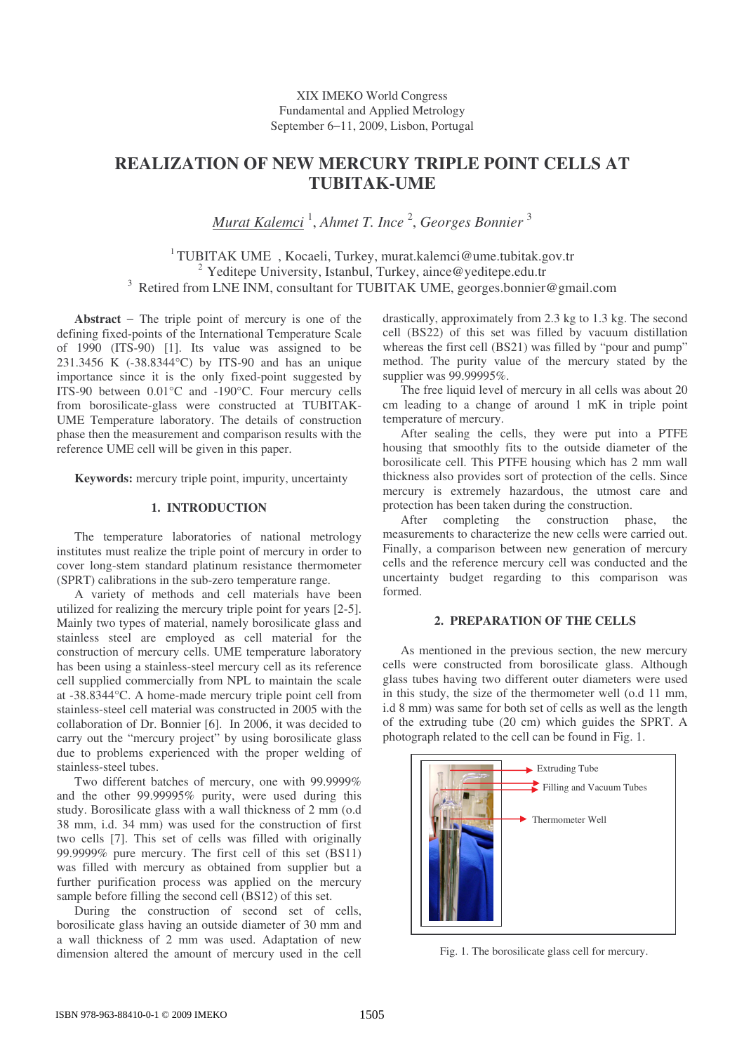# **REALIZATION OF NEW MERCURY TRIPLE POINT CELLS AT TUBITAK-UME**

*Murat Kalemci* 1 , *Ahmet T. Ince* 2 , *Georges Bonnier* 3

<sup>1</sup> TUBITAK UME , Kocaeli, Turkey, murat.kalemci@ume.tubitak.gov.tr  $2$  Yeditepe University, Istanbul, Turkey, aince@yeditepe.edu.tr <sup>3</sup> Retired from LNE INM, consultant for TUBITAK UME, georges.bonnier@gmail.com

**Abstract** − The triple point of mercury is one of the defining fixed-points of the International Temperature Scale of 1990 (ITS-90) [1]. Its value was assigned to be 231.3456 K (-38.8344°C) by ITS-90 and has an unique importance since it is the only fixed-point suggested by ITS-90 between 0.01°C and -190°C. Four mercury cells from borosilicate-glass were constructed at TUBITAK-UME Temperature laboratory. The details of construction phase then the measurement and comparison results with the reference UME cell will be given in this paper.

**Keywords:** mercury triple point, impurity, uncertainty

## **1. INTRODUCTION**

The temperature laboratories of national metrology institutes must realize the triple point of mercury in order to cover long-stem standard platinum resistance thermometer (SPRT) calibrations in the sub-zero temperature range.

A variety of methods and cell materials have been utilized for realizing the mercury triple point for years [2-5]. Mainly two types of material, namely borosilicate glass and stainless steel are employed as cell material for the construction of mercury cells. UME temperature laboratory has been using a stainless-steel mercury cell as its reference cell supplied commercially from NPL to maintain the scale at -38.8344°C. A home-made mercury triple point cell from stainless-steel cell material was constructed in 2005 with the collaboration of Dr. Bonnier [6]. In 2006, it was decided to carry out the "mercury project" by using borosilicate glass due to problems experienced with the proper welding of stainless-steel tubes.

Two different batches of mercury, one with 99.9999% and the other 99.99995% purity, were used during this study. Borosilicate glass with a wall thickness of 2 mm (o.d 38 mm, i.d. 34 mm) was used for the construction of first two cells [7]. This set of cells was filled with originally 99.9999% pure mercury. The first cell of this set (BS11) was filled with mercury as obtained from supplier but a further purification process was applied on the mercury sample before filling the second cell (BS12) of this set.

During the construction of second set of cells, borosilicate glass having an outside diameter of 30 mm and a wall thickness of 2 mm was used. Adaptation of new dimension altered the amount of mercury used in the cell drastically, approximately from 2.3 kg to 1.3 kg. The second cell (BS22) of this set was filled by vacuum distillation whereas the first cell (BS21) was filled by "pour and pump" method. The purity value of the mercury stated by the supplier was 99.99995%.

The free liquid level of mercury in all cells was about 20 cm leading to a change of around 1 mK in triple point temperature of mercury.

After sealing the cells, they were put into a PTFE housing that smoothly fits to the outside diameter of the borosilicate cell. This PTFE housing which has 2 mm wall thickness also provides sort of protection of the cells. Since mercury is extremely hazardous, the utmost care and protection has been taken during the construction.

After completing the construction phase, the measurements to characterize the new cells were carried out. Finally, a comparison between new generation of mercury cells and the reference mercury cell was conducted and the uncertainty budget regarding to this comparison was formed.

## **2. PREPARATION OF THE CELLS**

As mentioned in the previous section, the new mercury cells were constructed from borosilicate glass. Although glass tubes having two different outer diameters were used in this study, the size of the thermometer well (o.d 11 mm, i.d 8 mm) was same for both set of cells as well as the length of the extruding tube (20 cm) which guides the SPRT. A photograph related to the cell can be found in Fig. 1.



Fig. 1. The borosilicate glass cell for mercury.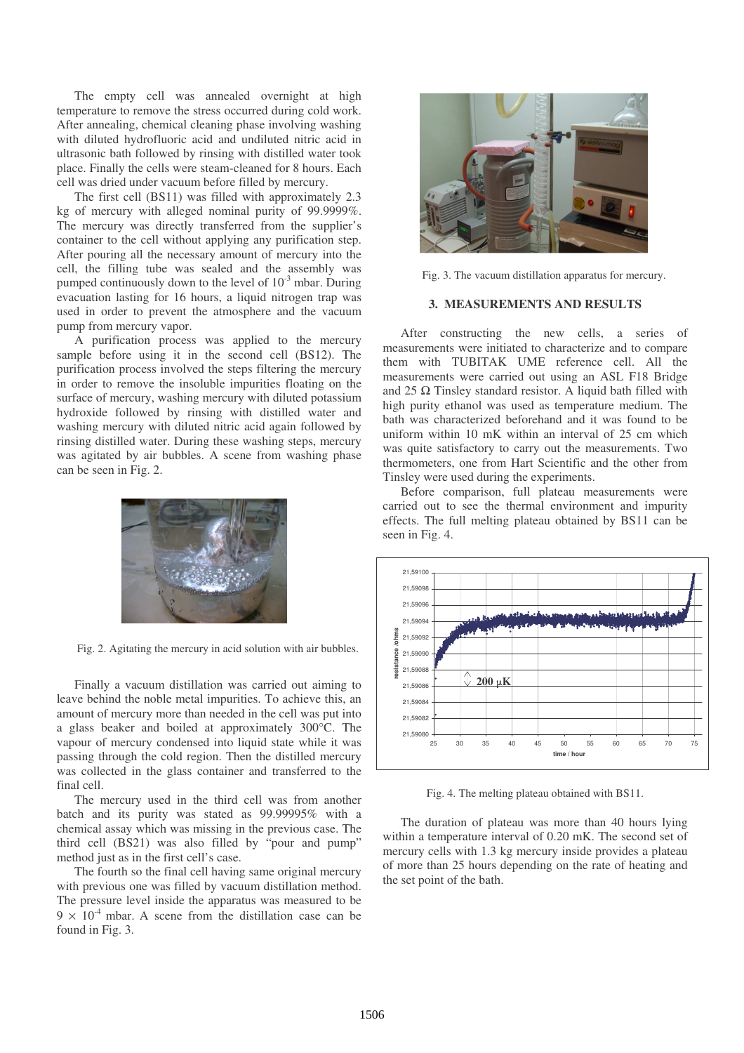The empty cell was annealed overnight at high temperature to remove the stress occurred during cold work. After annealing, chemical cleaning phase involving washing with diluted hydrofluoric acid and undiluted nitric acid in ultrasonic bath followed by rinsing with distilled water took place. Finally the cells were steam-cleaned for 8 hours. Each cell was dried under vacuum before filled by mercury.

The first cell (BS11) was filled with approximately 2.3 kg of mercury with alleged nominal purity of 99.9999%. The mercury was directly transferred from the supplier's container to the cell without applying any purification step. After pouring all the necessary amount of mercury into the cell, the filling tube was sealed and the assembly was pumped continuously down to the level of  $10^{-3}$  mbar. During evacuation lasting for 16 hours, a liquid nitrogen trap was used in order to prevent the atmosphere and the vacuum pump from mercury vapor.

A purification process was applied to the mercury sample before using it in the second cell (BS12). The purification process involved the steps filtering the mercury in order to remove the insoluble impurities floating on the surface of mercury, washing mercury with diluted potassium hydroxide followed by rinsing with distilled water and washing mercury with diluted nitric acid again followed by rinsing distilled water. During these washing steps, mercury was agitated by air bubbles. A scene from washing phase can be seen in Fig. 2.



Fig. 2. Agitating the mercury in acid solution with air bubbles.

Finally a vacuum distillation was carried out aiming to leave behind the noble metal impurities. To achieve this, an amount of mercury more than needed in the cell was put into a glass beaker and boiled at approximately 300°C. The vapour of mercury condensed into liquid state while it was passing through the cold region. Then the distilled mercury was collected in the glass container and transferred to the final cell.

The mercury used in the third cell was from another batch and its purity was stated as 99.99995% with a chemical assay which was missing in the previous case. The third cell (BS21) was also filled by "pour and pump" method just as in the first cell's case.

The fourth so the final cell having same original mercury with previous one was filled by vacuum distillation method. The pressure level inside the apparatus was measured to be  $9 \times 10^{-4}$  mbar. A scene from the distillation case can be found in Fig. 3.



Fig. 3. The vacuum distillation apparatus for mercury.

#### **3. MEASUREMENTS AND RESULTS**

After constructing the new cells, a series of measurements were initiated to characterize and to compare them with TUBITAK UME reference cell. All the measurements were carried out using an ASL F18 Bridge and  $25 \Omega$  Tinsley standard resistor. A liquid bath filled with high purity ethanol was used as temperature medium. The bath was characterized beforehand and it was found to be uniform within 10 mK within an interval of 25 cm which was quite satisfactory to carry out the measurements. Two thermometers, one from Hart Scientific and the other from Tinsley were used during the experiments.

Before comparison, full plateau measurements were carried out to see the thermal environment and impurity effects. The full melting plateau obtained by BS11 can be seen in Fig. 4.



Fig. 4. The melting plateau obtained with BS11.

The duration of plateau was more than 40 hours lying within a temperature interval of 0.20 mK. The second set of mercury cells with 1.3 kg mercury inside provides a plateau of more than 25 hours depending on the rate of heating and the set point of the bath.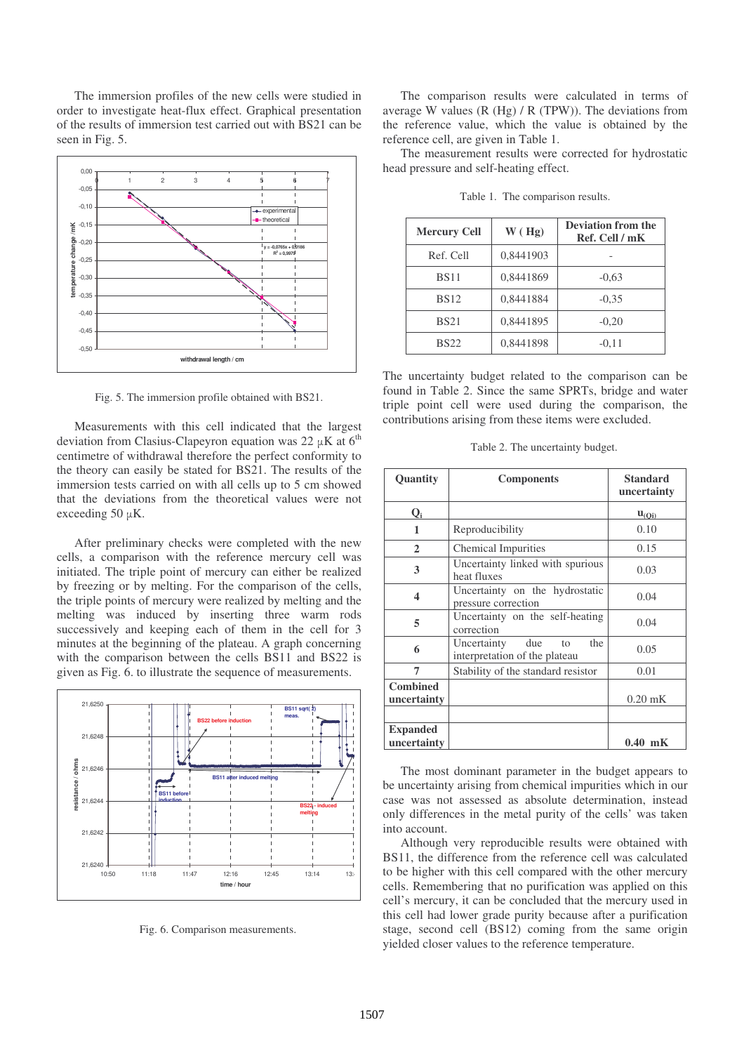The immersion profiles of the new cells were studied in order to investigate heat-flux effect. Graphical presentation of the results of immersion test carried out with BS21 can be seen in Fig. 5.



Fig. 5. The immersion profile obtained with BS21.

Measurements with this cell indicated that the largest deviation from Clasius-Clapeyron equation was 22  $\mu$ K at 6<sup>th</sup> centimetre of withdrawal therefore the perfect conformity to the theory can easily be stated for BS21. The results of the immersion tests carried on with all cells up to 5 cm showed that the deviations from the theoretical values were not exceeding 50  $\mu$ K.

After preliminary checks were completed with the new cells, a comparison with the reference mercury cell was initiated. The triple point of mercury can either be realized by freezing or by melting. For the comparison of the cells, the triple points of mercury were realized by melting and the melting was induced by inserting three warm rods successively and keeping each of them in the cell for 3 minutes at the beginning of the plateau. A graph concerning with the comparison between the cells BS11 and BS22 is given as Fig. 6. to illustrate the sequence of measurements.



Fig. 6. Comparison measurements.

The comparison results were calculated in terms of average W values (R (Hg) / R (TPW)). The deviations from the reference value, which the value is obtained by the reference cell, are given in Table 1.

The measurement results were corrected for hydrostatic head pressure and self-heating effect.

| <b>Mercury Cell</b> | W(Hg)     | <b>Deviation from the</b><br>Ref. Cell / mK |
|---------------------|-----------|---------------------------------------------|
| Ref. Cell           | 0,8441903 |                                             |
| <b>BS11</b>         | 0,8441869 | $-0.63$                                     |
| <b>BS12</b>         | 0,8441884 | $-0.35$                                     |
| <b>BS21</b>         | 0,8441895 | $-0,20$                                     |
| <b>BS22</b>         | 0,8441898 | $-0.11$                                     |

Table 1. The comparison results.

The uncertainty budget related to the comparison can be found in Table 2. Since the same SPRTs, bridge and water triple point cell were used during the comparison, the contributions arising from these items were excluded.

Table 2. The uncertainty budget.

| Quantity                       | <b>Components</b>                                                | <b>Standard</b><br>uncertainty |
|--------------------------------|------------------------------------------------------------------|--------------------------------|
| Q,                             |                                                                  | $\mathbf{u}_{(0i)}$            |
| 1                              | Reproducibility                                                  | 0.10                           |
| $\mathbf{2}$                   | <b>Chemical Impurities</b>                                       | 0.15                           |
| 3                              | Uncertainty linked with spurious<br>heat fluxes                  | 0.03                           |
| 4                              | Uncertainty on the hydrostatic<br>pressure correction            | 0.04                           |
| 5                              | Uncertainty on the self-heating<br>correction                    | 0.04                           |
| 6                              | the<br>Uncertainty<br>due<br>to<br>interpretation of the plateau | 0.05                           |
| 7                              | Stability of the standard resistor                               | 0.01                           |
| <b>Combined</b><br>uncertainty |                                                                  | $0.20$ mK                      |
|                                |                                                                  |                                |
| <b>Expanded</b><br>uncertainty |                                                                  | $0.40$ mK                      |

The most dominant parameter in the budget appears to be uncertainty arising from chemical impurities which in our case was not assessed as absolute determination, instead only differences in the metal purity of the cells' was taken into account.

Although very reproducible results were obtained with BS11, the difference from the reference cell was calculated to be higher with this cell compared with the other mercury cells. Remembering that no purification was applied on this cell's mercury, it can be concluded that the mercury used in this cell had lower grade purity because after a purification stage, second cell (BS12) coming from the same origin yielded closer values to the reference temperature.